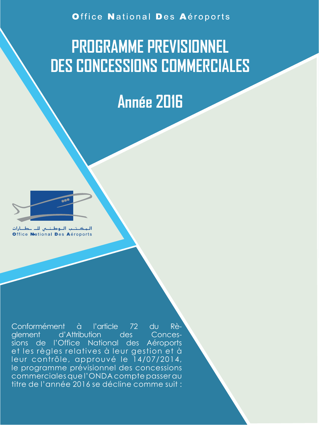Office National Des Aéroports

# **PROGRAMME PREVISIONNEL DES CONCESSIONS COMMERCIALES**

# **Année 2016**

الـمـکــتــب الــوطــتـــي للـــ ــطـــارات<br>Office Neational Des Aéroports

Conformément à l'article 72 du Règlement d'Attribution des sions de l'Office National des Aéroports et les règles relatives à leur gestion et à leur contrôle, approuvé le 14/07/2014, le programme prévisionnel des concessions commerciales que l'ONDA compte passer au titre de l'année 2016 se décline comme suit :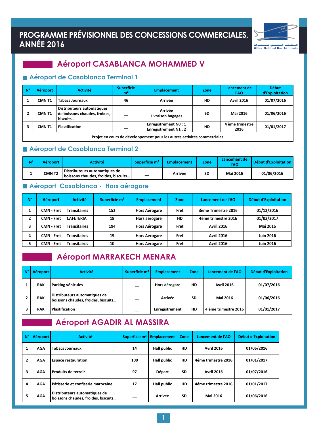### PROGRAMME PRÉVISIONNEL DES CONCESSIONS COMMERCIALES, **ANNÉE 2016**



### **Aéroport CASABLANCA MOHAMMED V**

### Aéroport de Casablanca Terminal 1

| $N^{\circ}$ | <b>Aéroport</b>                                                          | <b>Activité</b>                                                                | <b>Superficie</b><br>m <sup>2</sup> | <b>Emplacement</b>                                        | <b>Zone</b> | Lancement de<br>l'AO    | <b>Début</b><br>d'Exploitation |  |  |  |
|-------------|--------------------------------------------------------------------------|--------------------------------------------------------------------------------|-------------------------------------|-----------------------------------------------------------|-------------|-------------------------|--------------------------------|--|--|--|
|             | <b>CMNT1</b>                                                             | <b>Tabacs Journaux</b>                                                         | 46                                  | <b>Arrivée</b>                                            | HD          | <b>Avril 2016</b>       | 01/07/2016                     |  |  |  |
|             | <b>CMNT1</b>                                                             | <b>Distributeurs automatiques</b><br>de boissons chaudes, froides,<br>biscuits |                                     | <b>Arrivée</b><br>Livraison bagages                       | <b>SD</b>   | <b>Mai 2016</b>         | 01/06/2016                     |  |  |  |
|             | <b>CMNT1</b>                                                             | <b>Plastification</b>                                                          |                                     | <b>Enregistrement NO: 1</b><br><b>Enregistrement N1:2</b> | HD          | 4 ème trimestre<br>2016 | 01/01/2017                     |  |  |  |
|             | Projet en cours de développement pour les autres activités commerciales. |                                                                                |                                     |                                                           |             |                         |                                |  |  |  |

### Aéroport de Casablanca Terminal 2

| $N^{\circ}$ | <b>Aéroport</b> | Activité                                                               | Superficie m <sup>2</sup> | <b>Emplacement</b> | <b>Zone</b> | Lancement de<br>l'AO | Début d'Exploitation |
|-------------|-----------------|------------------------------------------------------------------------|---------------------------|--------------------|-------------|----------------------|----------------------|
|             | <b>CMNT2</b>    | Distributeurs automatiques de<br>I boissons chaudes, froides, biscuits |                           | Arrivée            | <b>SD</b>   | <b>Mai 2016</b>      | 01/06/2016           |

### Aéroport Casablanca - Hors aérogare

| <b>N°</b> | <b>Aéroport</b>   | <b>Activité</b>     | Superficie m <sup>2</sup> | <b>Emplacement</b>   | <b>Zone</b> | Lancement de l'AO   | <b>Début d'Exploitation</b> |
|-----------|-------------------|---------------------|---------------------------|----------------------|-------------|---------------------|-----------------------------|
|           | CMN - Fret        | <b>Transitaires</b> | 152                       | <b>Hors Aérogare</b> | <b>Fret</b> | 3ème Trimestre 2016 | 01/12/2016                  |
| 7         | <b>CMN - Fret</b> | <b>CAFETERIA</b>    | 18                        | Hors aérogare        | HD          | 4ème trimestre 2016 | 01/03/2017                  |
|           | CMN - Fret        | <b>Transitaires</b> | 194                       | <b>Hors Aérogare</b> | <b>Fret</b> | <b>Avril 2016</b>   | <b>Mai 2016</b>             |
| д         | <b>CMN - Fret</b> | <b>Transitaires</b> | 19                        | <b>Hors Aérogare</b> | <b>Fret</b> | <b>Avril 2016</b>   | <b>Juin 2016</b>            |
|           | <b>CMN - Fret</b> | <b>Transitaires</b> | 10                        | <b>Hors Aérogare</b> | <b>Fret</b> | <b>Avril 2016</b>   | <b>Juin 2016</b>            |

### Aéroport MARRAKECH MENARA

| $\mathsf{N}^\circ$ | Aéroport   | <b>Activité</b>                                                      | Superficie m <sup>2</sup> | <b>Emplacement</b> | <b>Zone</b> | Lancement de l'AO    | <b>Début d'Exploitation</b> |
|--------------------|------------|----------------------------------------------------------------------|---------------------------|--------------------|-------------|----------------------|-----------------------------|
|                    | <b>RAK</b> | Parking véhicules                                                    |                           | Hors aérogare      | HD          | <b>Avril 2016</b>    | 01/07/2016                  |
|                    | <b>RAK</b> | Distributeurs automatiques de<br>boissons chaudes, froides, biscuits |                           | Arrivée            | <b>SD</b>   | <b>Mai 2016</b>      | 01/06/2016                  |
|                    | <b>RAK</b> | <b>Plastification</b>                                                |                           | Enregistrement     | <b>HD</b>   | 4 ème trimestre 2016 | 01/01/2017                  |

### Aéroport AGADIR AL MASSIRA

| $N^{\circ}$    | <b>Aéroport</b> | <b>Activité</b>                                                      | Superficie m <sup>2</sup> | <b>Emplacement</b> | Zone      | Lancement de l'AO   | <b>Début d'Exploitation</b> |
|----------------|-----------------|----------------------------------------------------------------------|---------------------------|--------------------|-----------|---------------------|-----------------------------|
|                | <b>AGA</b>      | <b>Tabacs Journaux</b>                                               | 14                        | <b>Hall public</b> | HD        | <b>Avril 2016</b>   | 01/06/2016                  |
| $\overline{2}$ | <b>AGA</b>      | <b>Espace restauration</b>                                           | 100                       | <b>Hall public</b> | <b>HD</b> | 4éme trimestre 2016 | 01/01/2017                  |
| 3              | <b>AGA</b>      | <b>Produits de terroir</b>                                           | 97                        | <b>Départ</b>      | <b>SD</b> | <b>Avril 2016</b>   | 01/07/2016                  |
| 4              | <b>AGA</b>      | Pâtisserie et confiserie marocaine                                   | 17                        | <b>Hall public</b> | <b>HD</b> | 4éme trimestre 2016 | 01/01/2017                  |
| 5              | <b>AGA</b>      | Distributeurs automatiques de<br>boissons chaudes, froides, biscuits |                           | Arrivée            | <b>SD</b> | <b>Mai 2016</b>     | 01/06/2016                  |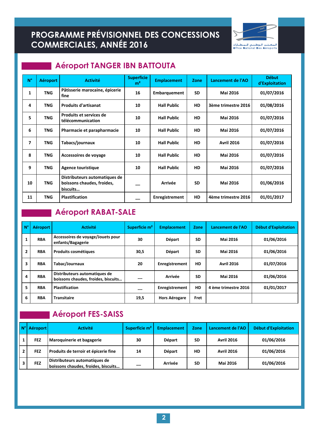# PROGRAMME PRÉVISIONNEL DES CONCESSIONS



### **Aéroport TANGER IBN BATTOUTA**

| $N^{\circ}$             | <b>Aéroport</b> | <b>Activité</b>                                                         | <b>Superficie</b><br>m <sup>2</sup> | <b>Emplacement</b>  | <b>Zone</b> | Lancement de l'AO   | <b>Début</b><br>d'Exploitation |
|-------------------------|-----------------|-------------------------------------------------------------------------|-------------------------------------|---------------------|-------------|---------------------|--------------------------------|
| 1                       | <b>TNG</b>      | Pâtisserie marocaine, épicerie<br>fine                                  | 16                                  | <b>Embarquement</b> | <b>SD</b>   | <b>Mai 2016</b>     | 01/07/2016                     |
| 4                       | <b>TNG</b>      | <b>Produits d'artisanat</b>                                             | 10                                  | <b>Hall Public</b>  | HD          | 3ème trimestre 2016 | 01/08/2016                     |
| 5                       | <b>TNG</b>      | <b>Produits et services de</b><br>télécommunication                     | 10                                  | <b>Hall Public</b>  | HD          | <b>Mai 2016</b>     | 01/07/2016                     |
| 6                       | <b>TNG</b>      | Pharmacie et parapharmacie                                              | 10                                  | <b>Hall Public</b>  | HD          | <b>Mai 2016</b>     | 01/07/2016                     |
| $\overline{\mathbf{z}}$ | <b>TNG</b>      | Tabacs/journaux                                                         | 10                                  | <b>Hall Public</b>  | <b>HD</b>   | <b>Avril 2016</b>   | 01/07/2016                     |
| 8                       | <b>TNG</b>      | Accessoires de voyage                                                   | 10                                  | <b>Hall Public</b>  | <b>HD</b>   | <b>Mai 2016</b>     | 01/07/2016                     |
| 9                       | <b>TNG</b>      | <b>Agence touristique</b>                                               | 10                                  | <b>Hall Public</b>  | HD          | <b>Mai 2016</b>     | 01/07/2016                     |
| 10                      | <b>TNG</b>      | Distributeurs automatiques de<br>boissons chaudes, froides,<br>biscuits |                                     | <b>Arrivée</b>      | <b>SD</b>   | <b>Mai 2016</b>     | 01/06/2016                     |
| 11                      | <b>TNG</b>      | <b>Plastification</b>                                                   |                                     | Enregistrement      | HD          | 4ème trimestre 2016 | 01/01/2017                     |

### **Aéroport RABAT-SALE**

| <b>N°</b> | <b>Aéroport</b> | <b>Activité</b>                                                      | Superficie m <sup>2</sup> | <b>Emplacement</b>   | <b>Zone</b> | Lancement de l'AO    | Début d'Exploitation |
|-----------|-----------------|----------------------------------------------------------------------|---------------------------|----------------------|-------------|----------------------|----------------------|
|           | <b>RBA</b>      | Accessoires de voyage/Jouets pour<br>enfants/Bagagerie               | 30                        | <b>Départ</b>        | <b>SD</b>   | <b>Mai 2016</b>      | 01/06/2016           |
| 2         | <b>RBA</b>      | <b>Produits cosmétiques</b>                                          | 30,5                      | <b>Départ</b>        | <b>SD</b>   | <b>Mai 2016</b>      | 01/06/2016           |
| 3         | <b>RBA</b>      | Tabac/Journaux                                                       | 20                        | Enregistrement       | HD          | <b>Avril 2016</b>    | 01/07/2016           |
| 4         | <b>RBA</b>      | Distributeurs automatiques de<br>boissons chaudes, froides, biscuits |                           | <b>Arrivée</b>       | <b>SD</b>   | <b>Mai 2016</b>      | 01/06/2016           |
| 5         | <b>RBA</b>      | <b>Plastification</b>                                                |                           | Enregistrement       | <b>HD</b>   | 4 ème trimestre 2016 | 01/01/2017           |
| 6         | <b>RBA</b>      | <b>Transitaire</b>                                                   | 19,5                      | <b>Hors Aérogare</b> | Fret        |                      |                      |

### Aéroport FES-SAISS

| $N^{\circ}$ | Aéroport   | <b>Activité</b>                                                      | Superficie m <sup>2</sup> | <b>Emplacement</b> | <b>Zone</b> | Lancement de l'AO | <b>Début d'Exploitation</b> |
|-------------|------------|----------------------------------------------------------------------|---------------------------|--------------------|-------------|-------------------|-----------------------------|
|             | <b>FEZ</b> | Maroquinerie et bagagerie                                            | 30                        | <b>Départ</b>      | <b>SD</b>   | <b>Avril 2016</b> | 01/06/2016                  |
|             | <b>FEZ</b> | Produits de terroir et épicerie fine                                 | 14                        | <b>Départ</b>      | HD          | <b>Avril 2016</b> | 01/06/2016                  |
|             | <b>FEZ</b> | Distributeurs automatiques de<br>boissons chaudes, froides, biscuits |                           | <b>Arrivée</b>     | <b>SD</b>   | <b>Mai 2016</b>   | 01/06/2016                  |